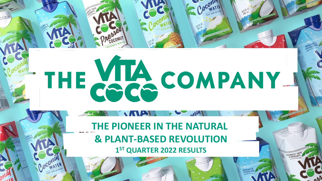# THE MIA COMPANY

## **THE PIONEER IN THE NATURAL & PLANT-BASED REVOLUTION 1 ST QUARTER 2022 RESULTS**

**LOCONUTTY TAS** 

EN V ... ORIGIN'S COLOR THE VITA COLOR COMPANY. PROPERTY AND CONFIDENTIAL 1 ...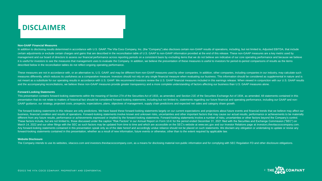## **DISCLAIMER**

#### **Non-GAAP Financial Measures**

In addition to disclosing results determined in accordance with U.S. GAAP, The Vita Coco Company, Inc. (the "Company") also discloses certain non-GAAP results of operations, including, but not limited to, Adjusted EBITDA, certain adjustments or exclude certain charges and gains that are described in the reconciliation table of U.S. GAAP to non-GAAP information provided at the end of this release. These non-GAAP measures are a key metric use management and our board of directors to assess our financial performance across reporting periods on a consistent basis by excluding items that we do not believe are indicative of our core operating performance and becaus it is useful for investors to see the measures that management uses to evaluate the Company. In addition, we believe the presentation of these measures is useful to investors for period-to-period comparisons of results as described below in the reconciliation tables do not reflect ongoing operating performance.

These measures are not in accordance with, or an alternative to, U.S. GAAP, and may be different from non-GAAP measures used by other companies. In addition, other companies, including companies in our industry, may calcul measures differently, which reduces its usefulness as a comparative measure. Investors should not rely on any single financial measure when evaluating our business. This information should be considered as supplemental in not meant as a substitute for our operating results in accordance with U.S. GAAP. We recommend investors review the U.S. GAAP financial measures included in this earnings release. When viewed in conjunction with our U.S. G and the accompanying reconciliations, we believe these non-GAAP measures provide greater transparency and a more complete understanding of factors affecting our business than U.S. GAAP measures alone.

#### **Forward-Looking Statements**

This presentation contains forward-looking statements within the meaning of Section 27A of the Securities Act of 1933, as amended, and Section 21E of the Securities Exchange Act of 1934, as amended. All statements containe presentation that do not relate to matters of historical fact should be considered forward-looking statements, including but not limited to, statements regarding our future financial and operating performance, including ou GAAP guidance, our strategy, projected costs, prospects, expectations, plans, objectives of management, supply chain predictions and expected net sales and category share growth.

The forward-looking statements in this release are only predictions. We have based these forward-looking statements largely on our current expectations and projections about future events and financial trends that we belie business, financial condition and results of operations. Forward-looking statements involve known and unknown risks, uncertainties and other important factors that may cause our actual results, performance or achievements different from any future results, performance or achievements expressed or implied by the forward-looking statements. Forward-looking statements involve a number of risks, uncertainties or other factors beyond the Company These factors include, but are not limited to, those discussed under the caption "Risk Factors" in our Annual Report on Form 10-K for the period ended December 31, 2021 filed with the Securities and Exchange Commission ("S March 14, 2022 and our other filings with the SEC as such factors may be updated from time to time and which are accessible on the SEC's website at www.sec.gov and our Investor Relations page at investors.thevitacococompan Any forward-looking statements contained in this presentation speak only as of the date hereof and accordingly undue reliance should not be placed on such statements. We disclaim any obligation or undertaking to update or forward-looking statements contained in this presentation, whether as a result of new information, future events or otherwise, other than to the extent required by applicable law.

#### **Website Disclosure**

The Company intends to use its websites, vitacoco.com and investors.thevitacococompany.com, as a means for disclosing material non-public information and for complying with SEC Regulation FD and other disclosure obligations.

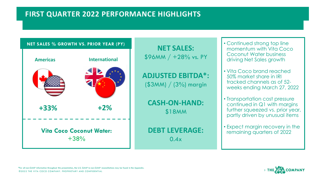## **FIRST QUARTER 2022 PERFORMANCE HIGHLIGHTS**



**NET SALES:**   $$96MM / +28%$  vs. PY

**ADJUSTED EBITDA\*:**  (\$3MM) / (3%) margin

**CASH-ON-HAND:**  \$18MM

**DEBT LEVERAGE:**  $0.4x$ 

• Continued strong top line momentum with Vita Coco Coconut Water business driving Net Sales growth

- Vita Coco brand reached 50% market share in IRI tracked channels as of 52 weeks ending March 27, 2022
- Transportation cost pressure continued in Q1 with margins further squeezed vs. prior year, partly driven by unusual items
- Expect margin recovery in the remaining quarters of 2022

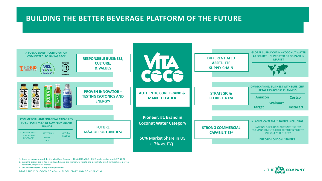## **BUILDING THE BETTER BEVERAGE PLATFORM OF THE FUTURE**



1. Based on custom research by the Vita Coco Company, IRI total US MULO+C 52 weeks ending March 27, 2022

2. Emerging Brands are in test in various channels and markets, to iterate and potentially launch national once proven

3. Potential Categories of Interest

4. Full Time Employees ("FTEs) are approximate.

©2022 THE VITA COCO COMPANY. PROPRIETARY AND CONFIDENTIAL <sup>4</sup>

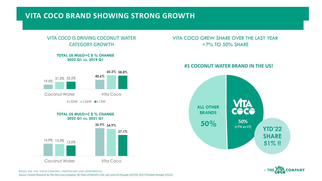## **VITA COCO BRAND SHOWING STRONG GROWTH**

#### VITA COCO IS DRIVING COCONUT WATER CATEGORY GROWTH



**TOTAL US MULO+C \$ % CHANGE 2022 Q1 vs. 2019 Q1**



#### VITA COCO GREW SHARE OVER THE LAST YEAR +7% TO 50% SHARE

#### **#1 COCONUT WATER BRAND IN THE US!**





©2022 THE VITA COCO COMPANY. PROPRIETARY AND CONFIDENTIAL  $^5$  TH *Source: Custom Research by The Vita Coco Company, IRI Total US MULO+C L52, L26, and L13 through 3/27/22. 51% YTD share through 5/1/22.*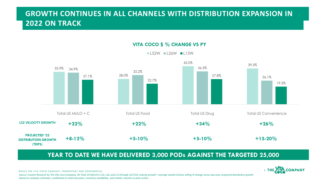## **GROWTH CONTINUES IN ALL CHANNELS WITH DISTRIBUTION EXPANSION IN 2022 ON TRACK**

#### **VITA COCO \$ % CHANGE VS PY**



 $L52W$   $L26W$   $L13W$ 

### **YEAR TO DATE WE HAVE DELIVERED 3,000 PODs AGAINST THE TARGETED 25,000**



Source: Custom Research by The Vita Coco Company, IRI Total US MULO+C L52, L26, and L13 through 3/27/22; velocity growth = average weekly \$/store selling % change versus last year; projected distribution growth *based on company estimates, conditional to retail execution, inventory availability, and retailer reaction to price action*

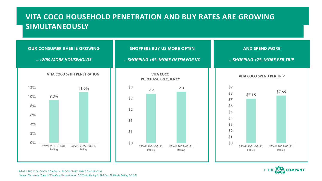## **VITA COCO HOUSEHOLD PENETRATION AND BUY RATES ARE GROWING SIMULTANEOUSLY**





©2022 THE VITA COCO COMPANY. PROPRIETARY AND CONFIDENTIAL  $\overline{a}$ *Source: Numerator Total US Vita Coco Coconut Water 52 Weeks Ending 3-31-22 vs. 52 Weeks Ending 3-31-21*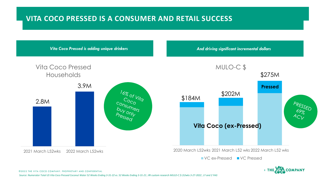## **VITA COCO PRESSED IS A CONSUMER AND RETAIL SUCCESS**



**COMPANY**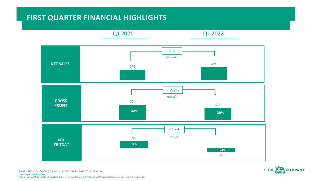## **FIRST QUARTER FINANCIAL HIGHLIGHTS**





©2022 THE VITA COCO COMPANY. PROPRIETARY AND CONFIDENTIAL **Example of the COMPANY** 9 **THE COMPANY** Note: Figures in USD millions. \*For all non-GAAP information throughout this presentation, the U.S. GAAP to non-GAAP reconciliations may be found in the Appendix.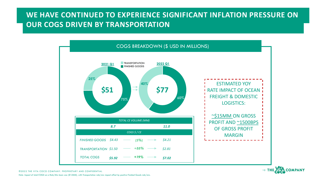## **WE HAVE CONTINUED TO EXPERIENCE SIGNIFICANT INFLATION PRESSURE ON OUR COGS DRIVEN BY TRANSPORTATION**



©2022 THE VITA COCO COMPANY. PROPRIETARY AND CONFIDENTIAL  $\blacksquare$ 

*Note: Impact of total COGS on a Rate/Mix basis was (\$12MM), with Transportation rate/mix impact offset by positive Finished Goods rate/mix.*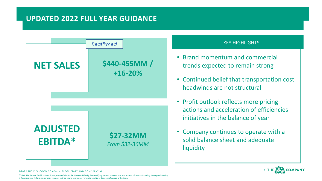## **UPDATED 2022 FULL YEAR GUIDANCE**



#### KEY HIGHLIGHTS

- Brand momentum and commercial trends expected to remain strong
- Continued belief that transportation cost headwinds are not structural
- Profit outlook reflects more pricing actions and acceleration of efficiencies initiatives in the balance of year
- Company continues to operate with a solid balance sheet and adequate **liquidity**



©2022 THE VITA COCO COMPANY. PROPRIETARY AND CONFIDENTIAL <sup>11</sup>

*\*GAAP Net Income 2022 outlook is not provided due to the inherent difficulty in quantifying certain amounts due to a variety of factors including the unpredictability in the movement in foreign currency rates, as well as future charges or reversals outside of the normal course of business.*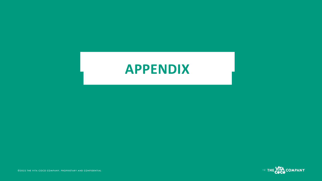# **APPENDIX**

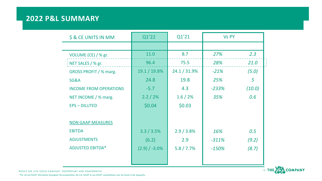## **2022 P&L SUMMARY**

| \$ & CE UNITS IN MM           | Q1'22            | Q1'21        | <b>Vs PY</b> |        |
|-------------------------------|------------------|--------------|--------------|--------|
|                               |                  |              |              |        |
| VOLUME (CE) / % gr.           | 11.0             | 8.7          | 27%          | 2.3    |
| NET SALES / % gr.             | 96.4             | 75.5         | 28%          | 21.0   |
| GROSS PROFIT / % marg.        | 19.1 / 19.8%     | 24.1 / 31.9% | $-21%$       | (5.0)  |
| SG&A                          | 24.8             | 19.8         | 25%          | 5      |
| <b>INCOME FROM OPERATIONS</b> | $-5.7$           | 4.3          | $-233%$      | (10.0) |
| NET INCOME / % marg.          | 2.2 / 2%         | 1.6 / 2%     | 35%          | 0.6    |
| <b>EPS - DILUTED</b>          | \$0.04           | \$0.03       |              |        |
|                               |                  |              |              |        |
| <b>NON GAAP MEASURES</b>      |                  |              |              |        |
| <b>EBITDA</b>                 | 3.3 / 3.5%       | 2.9/3.8%     | 16%          | 0.5    |
| <b>ADJUSTMENTS</b>            | (6.2)            | 2.9          | $-311%$      | (9.2)  |
| <b>ADJUSTED EBITDA*</b>       | $(2.9) / -3.0\%$ | 5.8 / 7.7%   | $-150%$      | (8.7)  |
|                               |                  |              |              |        |
|                               |                  |              |              |        |

©2022 THE VITA COCO COMPANY. PROPRIETARY AND CONFIDENTIAL **And a continuum and confidential** 13 THE **COMPANY** 

\*For all non-GAAP information throughout this presentation, the U.S. GAAP to non-GAAP reconciliations may be found in the Appendix.